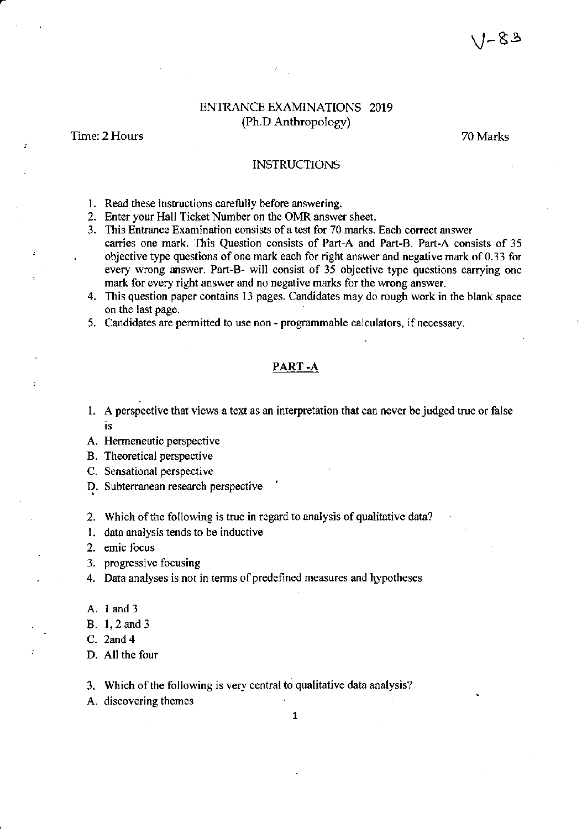### ENIRANCE EXAMINATIONS 2019 (Ph.D Anthropology)

Time: 2 Hours 70 Marks

#### INSTRUCTIONS

- 1. Read these instructions carefully before answering.
- 2. Enter your Hall Ticket Number on the OMR answer sheet.
- 3. This Entrance Examination consists of a test for 70 marks. Each correct answer
- carries one mark. This Question consists of Part-A and Part-B. Part-A consists of 35 objective type questions of one mark each for right answer and negative mark of 0.33 for every wrong answer. Part-B- will consist of 35 objective type questions carrying one mark for every right answer and no negative marks for the wrong answer.
- 4. This question paper contains 13 pages. Candidates may do rough work in the blank space on the last page.
- 5. Candidates are permitted to use non programmable calculators, if necessary.

#### PART .A

- l. <sup>A</sup>perspective that views a text as an interyretation that can never be judged true or false is
- A. Hermeneutic perspective
- B. Theoretical perspective
- C. Sensational perspective
- D. Subterranean research perspective
- 2. Which of the following is true in regard to analysis of qualitative data?
- l. data analysis tends to be inductive
- 2. ernic focus
- 3. progressive focusing
- 4. Data analyses is not in terms of predefined measures and lypotheses
- A. land3
- . B. 1,2 and <sup>3</sup>

C. 2and 4

- D. All the four
- 3. Which of the following is very central to qualitative data analysis?
- A. discovering themes

,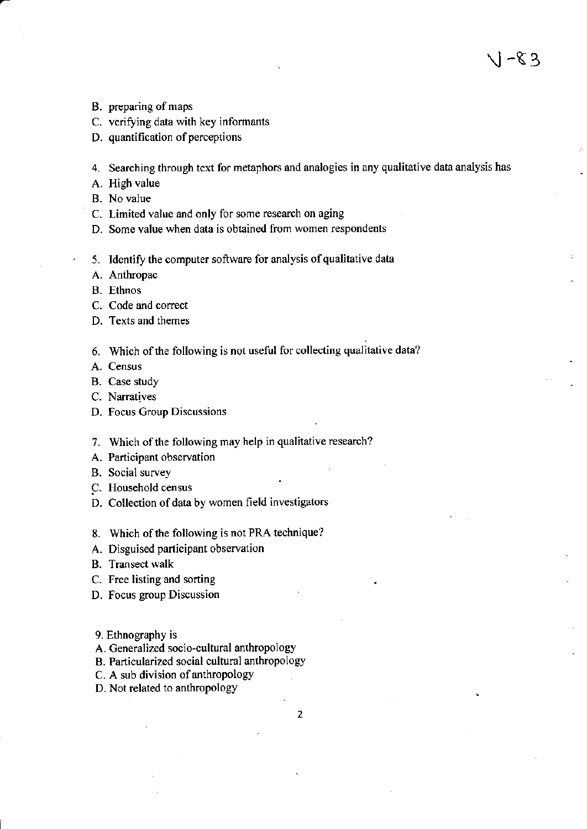- B. preparing of maps
- C. verifying data with key informants
- D. quantification of perceptions

4. Searching through text for metaphors and analogies in any qualitative data analysis has

- A. High value
- B. No value
- C. Limited value and only for some research on aging
- D. Some value when data is obtained from women respondents
- 5. Identify the computer software for analysis of qualitative data
- A. Anthropac
- B. Ethnos
- C. Code and correct
- D. Texts and themes
- 6. Which of the following is not useful for collecting qualitative data?
- A. Census
- B. Case study
- C. Narratives
- D. Focus Croup Discussions
- 7. Which of the following may help in qualitative research?
- A. Participant observation
- B. Social survey
- C. Household census
- D. Collection of data by women field investigators
- 8. Which of the following is not PRA technique?
- A. Disguised participant observation
- B. Transect walk
- C. Free listing and sorting
- D. focus group Discussion
- 9. Ethnography is
- A. Generalized socio-cultural anthropology
- B. Particularized social cultural anthropology
- C. A sub division of anthropology
- D. Not related to anthropology

 $\setminus$  1 –  $\setminus$  3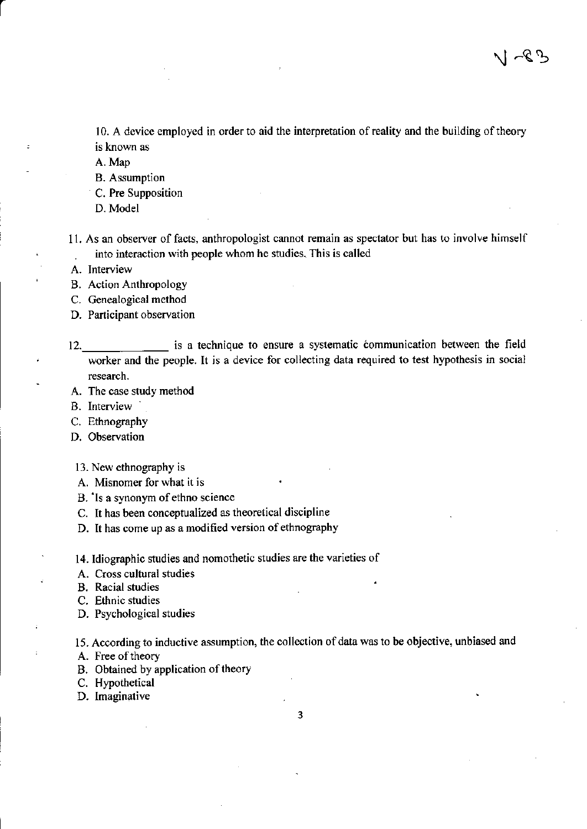10. A device employed in order to aid the interpretation of reality and the building of theory is known as

A. Map

- **B.** Assumption
- C. Pre Supposition
- D. Model
- 11. As an observer of facts, anthropologist cannot remain as spectator but has to involve himself into interaction with people whom he studies. This is called

A. Interview

**B.** Action Anthropology

C. Genealogical method

- D. Participant observation
- 12. is a technique to ensure a systematic communication between the field worker and the people. It is a device for collecting data required to test hypothesis in social research.
- A. The case study method
- B. Interview
- C. Ethnography
- D. Observation
- 13. New ethnography is
- A. Misnomer for what it is
- B. Is a synonym of ethno science
- C. It has been conceptualized as theoretical discipline
- D. It has come up as a modified version of ethnography
- 14. Idiographic studies and nomothetic studies are the varieties of
- A. Cross cultural studies
- **B.** Racial studies
- C. Ethnic studies
- D. Psychological studies

15. According to inductive assumption, the collection of data was to be objective, unbiased and

- A. Free of theory
- B. Obtained by application of theory
- C. Hypothetical
- D. Imaginative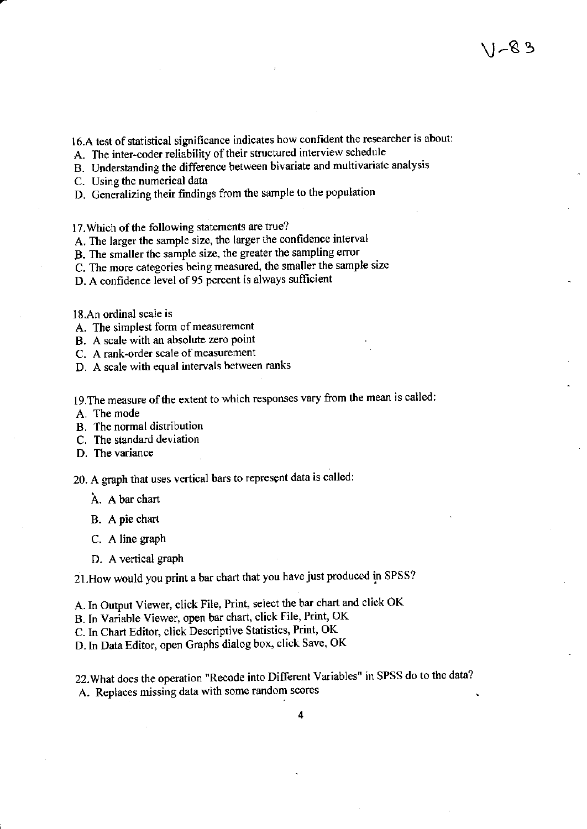16.A test of statistical significance indicates how confident the researcher is about:

A. The inter-coder reliability of their structured interview schedule

B. Understanding the difference between bivariate and multivariate analysis

C. Using the numerical data

D. Generalizing their findings ftom the sample to the population

17. Which of the following statements are true?

A. The larger the sample size, the larger the confidence interval

B. The smaller the sample size, the geater the sampling error

C. The more categories being measured, the smaller the sample size

D. A confidence level of 95 percent is always sufficient

l8.An ordinal soale is

A. The simplest form of measurement

B. A scale with an absolute zero point

C. A rank-order scale of measurement

D. A scale with equal intervals between ranks

19. The measure of the extent to which responses vary from the mean is called:

A. The mode

B. The normal distribution

C. The standard deviation

D. The variance

20. A graph that uses vertical bars to represent data is called:

A. A bar chart

B. A pie chart

C. A line graph

D. A vertical graph

21. How would you print a bar chart that you have just produced in SPSS?

A. In Output Viewer, click File, Print, select the bar chart and click OK

B. In Variable Viewer, open bar chart, click File, Print, OK

C. In Chart Editor, click Descriptive Statistics, Print, OK

D.In Data Editor, open Graphs dialog box, click Save, OK

22.What does the operation "Recode into Different Variables" in SPSS do to the data? A. Replaces missing data with some random scores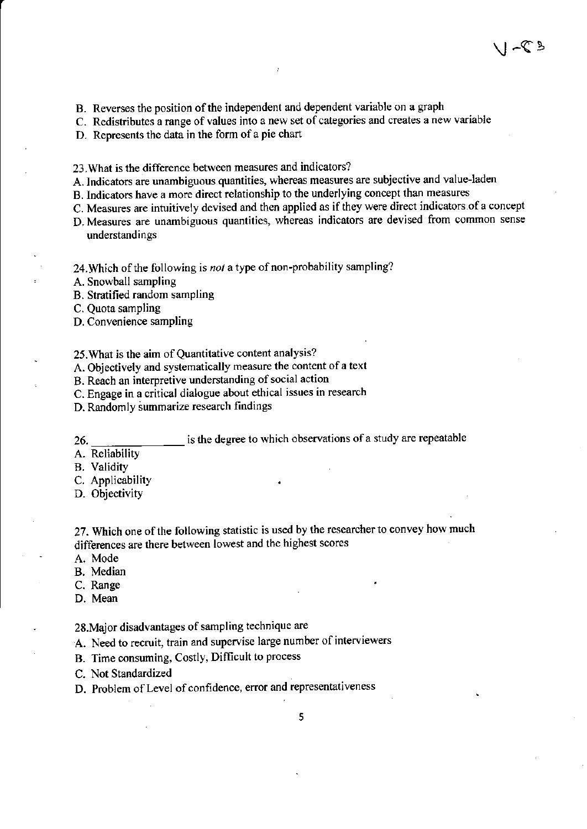- B. Reverses the position of the independent and dependent variable on a graph
- C. Redistributes a range of values into a new set of categories and creates a new variable
- D. Represents the data in the form of a pie chart
- <sup>23</sup>.What is the difference between measures and indicators?
- A. Indicators are unambiguous quantities, whereas measures are subjective and value-laden
- B. Indicators have a more direct relationship to the underlying concept than measures
- C. Measures are intuitively devised and then applied as if they were direct indicators of a concept
- D. Measures are unambiguous quantities, whereas indicators are devised from common sense understandings
- 24. Which of the following is not a type of non-probability sampling?
- A. Snowball sampling
- B. Stratified random sampling
- C. Quota sampling
- D. Convenience sampling
- 25. What is the aim of Quantitative content analysis?
- A. Objectively and systematically measure the content of a text
- B. Reach an interpretive understanding of social action
- C. Engage in a critical dialogue about ethical issues in research
- D. Randomly summarize research findings
- is the degree to which observations of a study are repeatable 26.
- A. Reliability
- **B.** Validity
- C. Applicability
- D. Objectivity
- 27. Which one of the following statistic is used by the researcher to convey how much differences ate there between lowest and the highest scores
- A. Mode
- B. Median
- C. Range
- D. Mean

28.Major disadvantages of sampling technique are

- A. Need to recruit, train and supervise large number of interviewers
- B. Time consuming, Costly, Difficult to process
- C. Not Standardized
- D. Problem of Level of confidence, error and representativeness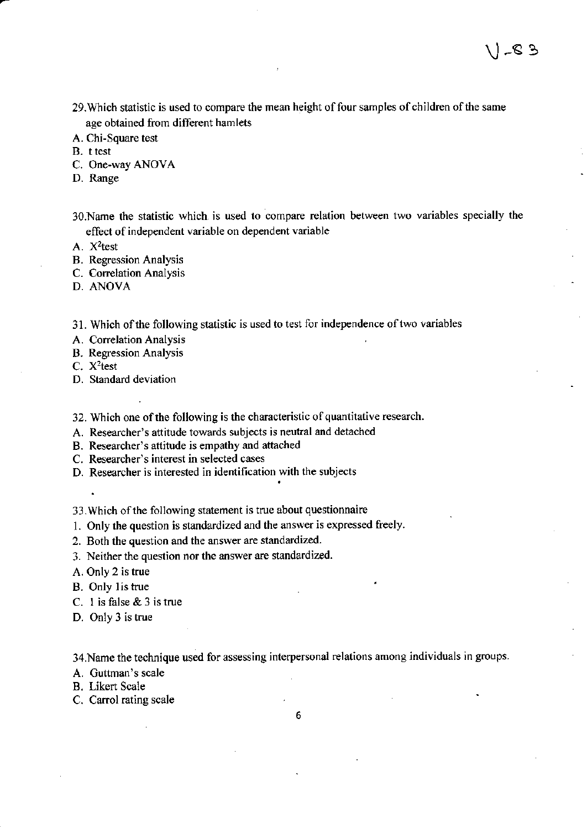- 29. Which statistic is used to compare the mean height of four samples of children of the same age obtained from different hamlets
- A. Chi-Square test
- B. t test
- C. One-way ANOVA
- D. Range
- 30. Name the statistic which is used to compare relation between two variables specially the effect of independent variable on dependent variable

A.  $X^2$ test

- B. Regression Analysis
- C. Correlation Analysis
- D. ANOVA

31. Which of the following statistic is used to test for independence of two variables

- A. Correlation Analysis
- B. Regression Analysis

C. X<sup>2</sup>test

 $\ddot{\phantom{1}}$ 

- D. Standard deviation
- 32. Which one of the following is the characteristic of quantitative research.
- A. Researcher's attitude towards subjects is neutral and detached
- B. Researcher's attitude is empathy and attached
- C. Researcher's interest in selected cases
- D. Researcher is interested in identification with the subjects

33. Which of the following statement is true about questionnaire

- 1. Only the question is standardizgd and the answer is expressed freely.
- 2. Both the question and the answer are standardized.
- 3. Neither the question nor the answer are standardized.

A. Only 2 is true

B. Only lis true

- C. I is false & 3 is true
- D. only 3 is true

34.Name the technique used for assessing interpersonal relations among individuals in groups

A. Guttman's scale

B. Likert Scale

C. Carrol rating scale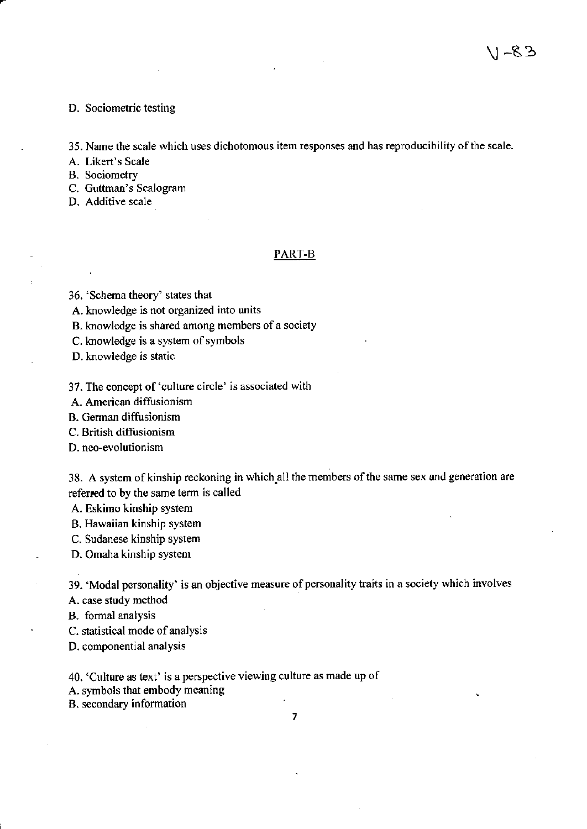\ -83

#### D. Sociometric testing

35. Name the scale which uses dichotomous item responses and has reproducibility ofthe scale.

A. Likert's Scale

B. Sociometry

C. Guttman's Scalogram

D. Additive scale

#### PART.B

36. 'schema theory' states that

A. knowledge is not organized into units

B. knowledge is shared among members of a society

C. knowledge is a system of symbols

D. knowledge is static

37. The concept of'culture circle' is associated with

A. American diffusionism

B. German diffusionism

C. British diffusionism

D. neo-evolutionism

38. A system of kinship reckoning in which all the members of the same sex and generation are referred to by the same term is called

A. Eskimo kinship system

B. Hawaiian kinship system

C. Sudanese kinship system

D. Omaha kinship system

39. 'Modal personality' is an objective measure of personality traits in a society which involves

A. case study method

B. formal analysis

C. statistical mode of analysis

D. componential analysis

40. 'Culture as text' is a perspective viewing culture as made up of

A. symbols that embody meaning

B. secondary information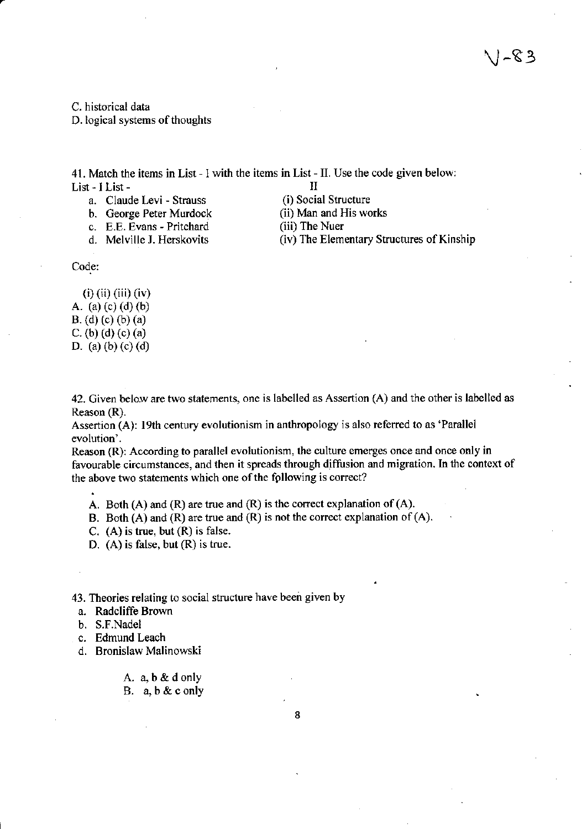C. historical data

D. logical systems of thoughts

41. Match the items in List - I with the items in List - II. Use the code given below: List - I List -<br>
a. Claude Levi - Strauss (i) Social Structure

- a. Claude Levi Strauss (i) Social Structure<br>b. George Peter Murdock (ii) Man and His works
- b. George Peter Murdock (ii) Man and H<br>c. E.E. Evans Pritchard (iii) The Nuer
- c. E.E. Evans Pritchard<br>d. Melville J. Herskovits
- 
- 
- 
- 
- (iv) The Elementary Structures of Kinship

Code:

(i) (ii) (iii) (iv) A. (a) (c) (d) (b) B. (d) (c) (b) (a) C. (b) (d) (c) (a) D. (a) (b) (c) (d)

42. Given below are two statements, one is labelled as Assertion (A) and the other is labelled as Reason (R).

Assertion (A): l9th century evolutionism in anthropology is also referred to as'Parallel evolution'.

Reason (R): According to parallel evolutionism, the culture emerges once and once only in favourable circumstances, and then it spreads through diffusion and migration. In the context of the above two statements which one of the following is correct?

A. Both  $(A)$  and  $(R)$  are true and  $(R)$  is the correct explanation of  $(A)$ .

B. Both  $(A)$  and  $(R)$  are true and  $(R)$  is not the correct explanation of  $(A)$ .

C. (A) is true, but (R) is false.

D. (A) is false, but (R) is true.

43. Theories relating to social sfucture have been given by

- a. Radcliffe Brown
- b. S.F.Nadel
- c. Edmund Leach
- d. Bronislaw Malinowski
	- A. a,b&donly
	- B. a,b&conly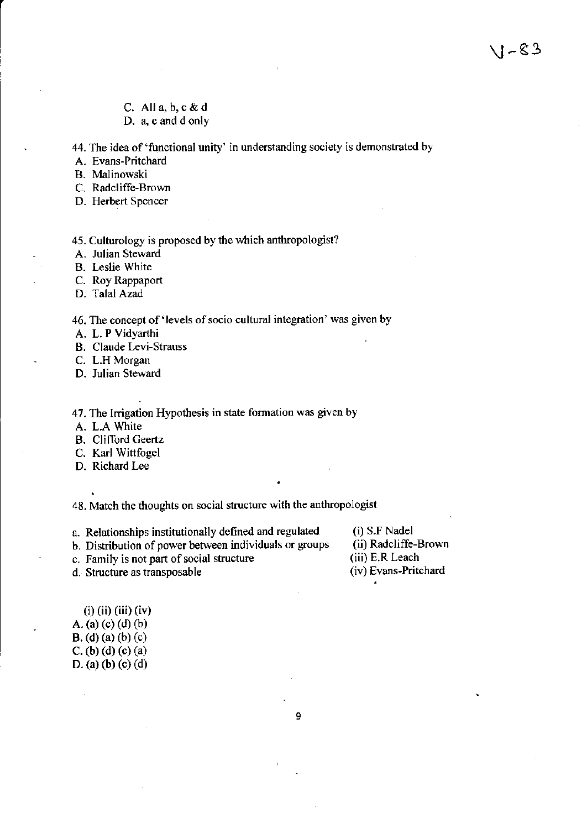- C. All  $a, b, c \& d$
- D. a, c and d only

44. The idea of'functional unity' in understanding society is demonstrated by

A. Evans-Pritchard

B. Malinowski

- C. Radcliffe-Brown
- D. Herbert Spencer

45. Culturology is proposed by the which anthropologist?

A. Julian Steward

B. Leslie White

C. Roy Rappaport

D. Talal Azad

## 46. The concept of 'levels of socio cultural integration' was given by

A. L. P Vidyarthi

B. Claude Levi-Strauss

C. L.H Morgan

- D. Julian Steward
- 47. The lrrigation Hypothesis in state formation was given by
- A. L.A White

B. Clifford Ceertz

C. Karl Wiftfogel

D. Richard Lee

48. Match the thoughts on social structure with the anthrcpologist

- a. Relationships institutionally defined and regulated b. Distribution of power between individuals or groups
- (i) S.F Nadel

(ii) Radcliffe-Brown

- (iii) E.R Leach
	- (iv) Evans-Pritchard

d. Structure as transposable

c. Family is not part of social structure

- $(i)$  (ii) (iii) (iv) A. (a) (c) (d) (b)
- B. (d) (a) (b) (c)
- C. (b) (d) (c) (a)

D. (a) (b) (c) (d)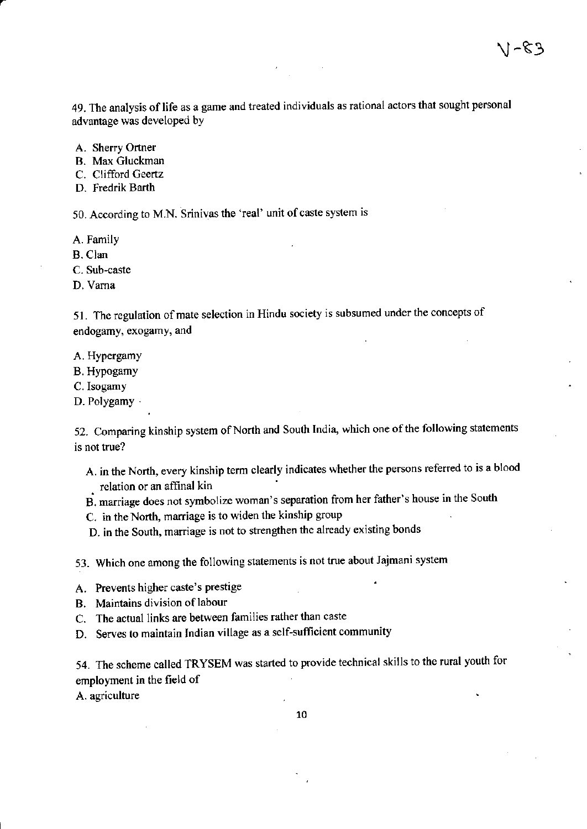49. The analysis of life as a game and treated individuals as rational actors that sought personal advantage was developed bY

 $1 - 83$ 

A. Sherry Ortner

B. Max Gluckman

C. Clifford Geertz

D. Fredrik Barth

50. According to M.N. Srinivas the 'real' unit of caste system is

A. Family

B. Clan

C. Sub-caste

D. Vama

51. The regulation of mate selection in Hindu society is subsumed under the concepts of endogamy, exogamy, and

A. Hypergamy

B. Hypogamy

C.Isogamy

D. Polygamy .

52. Comparing kinship system of North and South India, which one of the following statements is not true?

- A. in the North, every kinship term clearly indicates whether the persons referred to is a blood relation or an affinal kin
- B. maniage does not symbolize woman's separation from her father's house in the South
- C. in the North, marriage is to widen the kinship group

D. in the South, marriage is not to strengthen the already existing bonds

53. Which one among the following statements is not true about Jajmani system

- A. Prevents higher caste's prestige
- B. Maintains division of labour
- C. The actual links are between families rather than caste
- D. Serves to maintain Indian village as a self-sufficient community

54. The scheme called TRYSEM was started to provide technical skills to the rural youth for employment in the field of

A. agriculture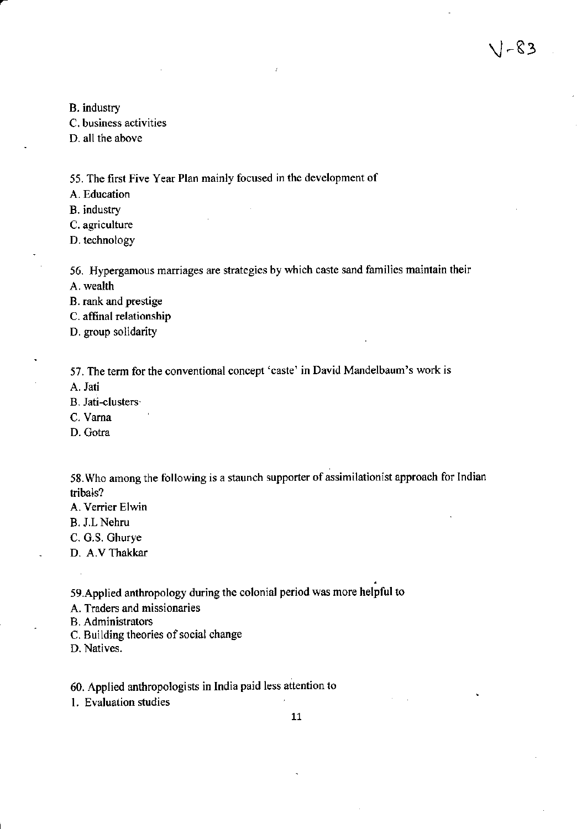B. industry

C. business activities

D. all the above

55. The first Five Year Plan mainly focused in the development of

A. Education

B. industry

C. agriculture

D. technology

56. Hypergamous marriages are stategies by which caste sand families maintain their

 $1 - 83$ 

A. wealth

B. rank and prestige

C. affinal relationship

D. group solidarity

57. The term for the conventional concept 'caste' in David Mandelbaum's work is

A. Jati

B. Jati-clusters'

C. Vama

D. Gotra

58. Who among the following is a staunch supporter of assimilationist approach for Indian tribals?

A. Venier Elwin

B. J.L Nehru

C. G.S. Ghurye

D. A.V Thakkar

5g.Applied anthropology during the colonial period was more helpful to

A. Traders and missionaries

B. Administrators

C. Building theories of social change

D. Natives.

60. Applied anthropologists in lndia paid less attention to

1. Evaluation studies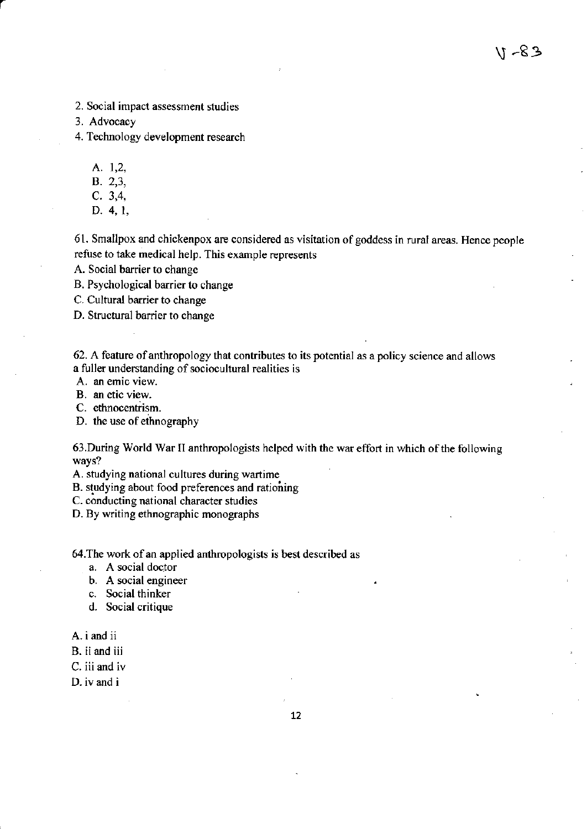48-11

- 2. Social impact assessment studies
- 3. Advocacy

4. Technology development research

A. 1,2,

- B. 2,3,
- $C. 3,4,$
- D. 4, 1,

61. Smallpox and chickenpox are considered as visitation of goddess in rural areas. Hence people refuse to take medical help. This example represents

A. Social barrier to change

B. Psychological barrier to change

C. Cultural barrier to change

D. Structural barrier to change

62. A feature of anthropology that contributes to its potential as a policy science and allows a fuller understanding of sociocultural realities is

A. an emic view.

B. an etic view.

C. ethnocentrism.

D. the use of ethnography

63. During World War II anthropologists helped with the war effort in which of the following ways?

A. studying national cultures during wartime

B. studying about food preferences and rationing

C. conducting national character studies

D. By writing ethnographic monographs

64. The work of an applied anthropologists is best described as

- a. A social doctor
- b. A social engineer
- c. Social thinker
- d. Social critique
- A. i and ii
- B. ii and iii
- C. iii and iv
- D. iv and i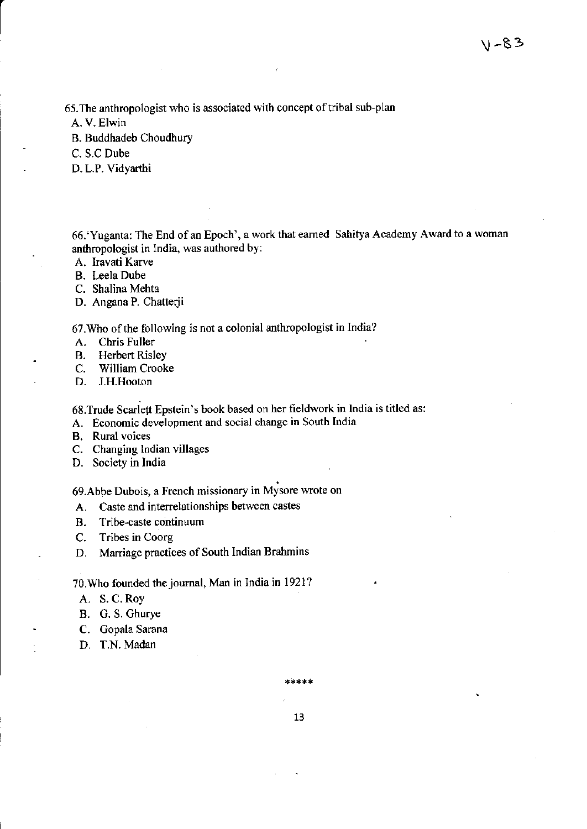65. The anthropologist who is associated with concept of tribal sub-plan

A. V. Elwin

B. Buddhadeb Choudhury

C. S.C Dube

D. L.P. Vidyarthi

66.'Yuganta: The End of an Epoch', a work that earned Sahitya Academy Award to a woman anthropologist in lndia, was authored by:

A. Iravati Karve

B. Leela Dube

C. Shalina Mehta

D. Angana P. Chatterji

67. Who of the following is not a colonial anthropologist in India?

A. Chris Fuller

B. Herbert Risley<br>C. William Crook

C. William Crooke<br>D. J.H.Hooton

J.H.Hooton

68.Trude Scarlett Epstein's book based on her fieldwork in India is titled as:

A. Economic development and social change in South India

**B.** Rural voices

C. Changing lndian villages

D. Society in India

69.Abbe Dubois, a French missionary in Mysore wrote on

A. Caste and interrelationships between castes

B. Tribe-caste continuum

C. Tribes in Coorg

D. Marriage practices of South Indian Brahmins

70.Who founded thejoumal, Man in India in 1921?

A. S. C. Roy

B. G. S. Ghurye

C. Gopala Sarana

D. T.N. Madan

e de de de de